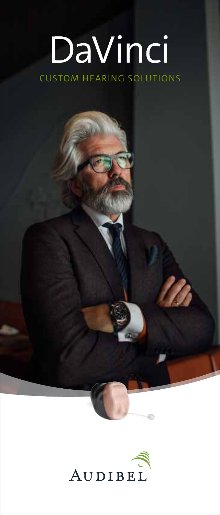# DaVinci CUSTOM HEARING SOLUTIONS

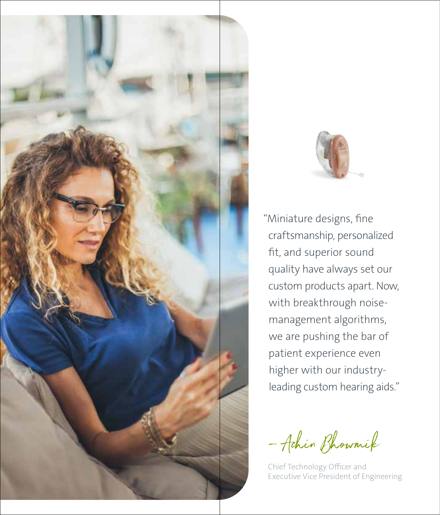



"Miniature designs, fine craftsmanship, personalized fit, and superior sound quality have always set our custom products apart. Now, with breakthrough noisemanagement algorithms, we are pushing the bar of patient experience even higher with our industryleading custom hearing aids."

– Achin Bhowmik

Chief Technology Officer and Executive Vice President of Engineering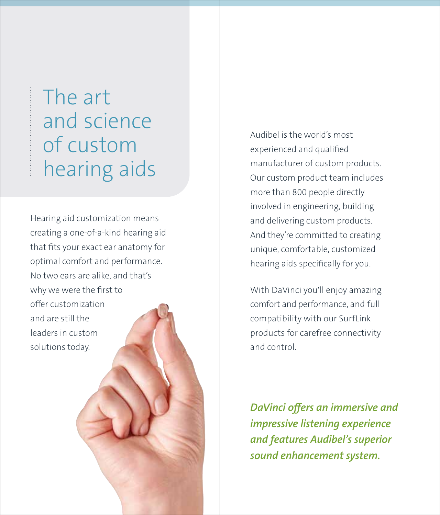## The art and science of custom hearing aids

Hearing aid customization means creating a one-of-a-kind hearing aid that fits your exact ear anatomy for optimal comfort and performance. No two ears are alike, and that's why we were the first to offer customization and are still the leaders in custom solutions today.

Audibel is the world's most experienced and qualified manufacturer of custom products. Our custom product team includes more than 800 people directly involved in engineering, building and delivering custom products. And they're committed to creating unique, comfortable, customized hearing aids specifically for you.

With DaVinci you'll enjoy amazing comfort and performance, and full compatibility with our SurfLink products for carefree connectivity and control.

*DaVinci offers an immersive and impressive listening experience and features Audibel's superior sound enhancement system.*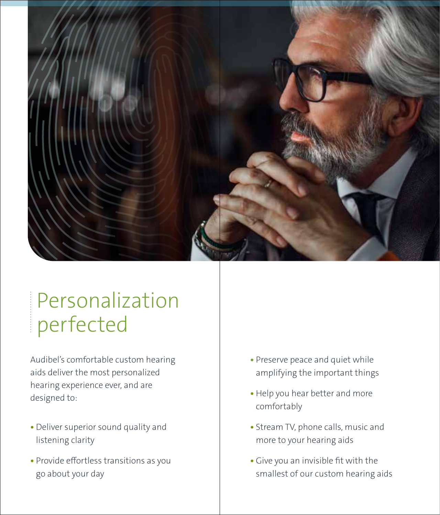

# Personalization perfected

Audibel's comfortable custom hearing aids deliver the most personalized hearing experience ever, and are designed to:

- **•** Deliver superior sound quality and listening clarity
- **•** Provide effortless transitions as you go about your day
- **•** Preserve peace and quiet while amplifying the important things
- **•** Help you hear better and more comfortably
- **•** Stream TV, phone calls, music and more to your hearing aids
- **•** Give you an invisible fit with the smallest of our custom hearing aids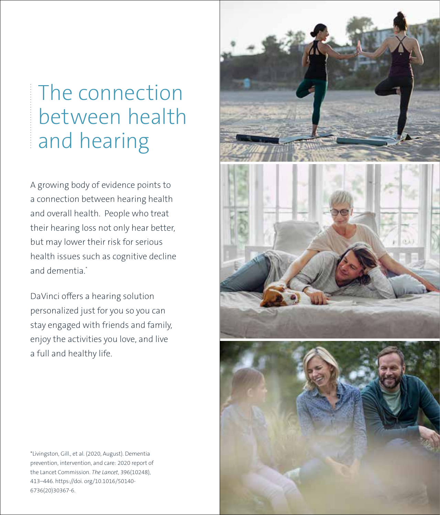# The connection between health and hearing

A growing body of evidence points to a connection between hearing health and overall health. People who treat their hearing loss not only hear better, but may lower their risk for serious health issues such as cognitive decline and dementia.\*

DaVinci offers a hearing solution personalized just for you so you can stay engaged with friends and family, enjoy the activities you love, and live a full and healthy life.

\*Livingston, Gill., et al. (2020, August). Dementia prevention, intervention, and care: 2020 report of the Lancet Commission. *The Lancet*, 396(10248), 413–446. https://doi. org/10.1016/50140- 6736(20)30367-6.

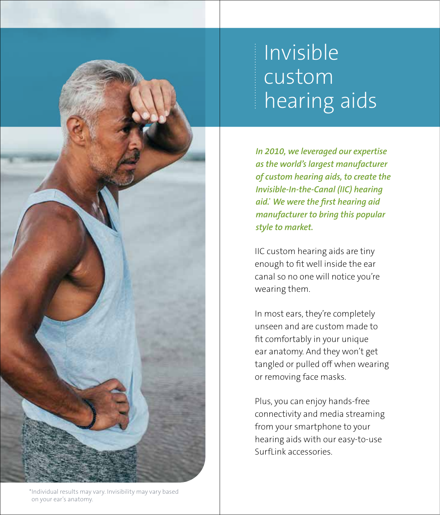# Invisible custom hearing aids

*In 2010, we leveraged our expertise as the world's largest manufacturer of custom hearing aids, to create the Invisible-In-the-Canal (IIC) hearing aid.\* We were the first hearing aid manufacturer to bring this popular style to market.* 

IIC custom hearing aids are tiny enough to fit well inside the ear canal so no one will notice you're wearing them.

In most ears, they're completely unseen and are custom made to fit comfortably in your unique ear anatomy. And they won't get tangled or pulled off when wearing or removing face masks.

Plus, you can enjoy hands-free connectivity and media streaming from your smartphone to your hearing aids with our easy-to-use SurfLink accessories.

\*Individual results may vary. Invisibility may vary based on your ear's anatomy.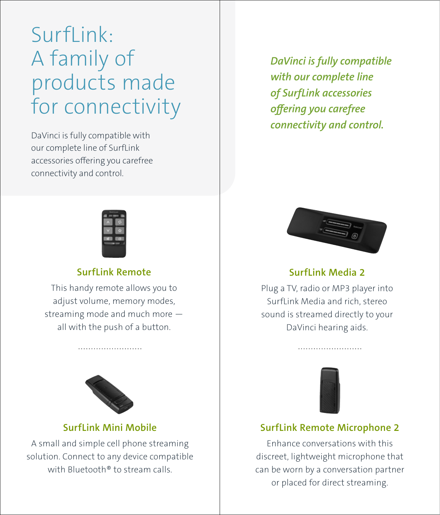# SurfLink: A family of products made for connectivity

DaVinci is fully compatible with our complete line of SurfLink accessories offering you carefree connectivity and control.



### **SurfLink Remote**

This handy remote allows you to adjust volume, memory modes, streaming mode and much more all with the push of a button.



### **SurfLink Mini Mobile**

A small and simple cell phone streaming solution. Connect to any device compatible with Bluetooth<sup>®</sup> to stream calls.

*DaVinci is fully compatible with our complete line of SurfLink accessories offering you carefree connectivity and control.*



### **SurfLink Media 2**

Plug a TV, radio or MP3 player into SurfLink Media and rich, stereo sound is streamed directly to your DaVinci hearing aids.



### **SurfLink Remote Microphone 2**

Enhance conversations with this discreet, lightweight microphone that can be worn by a conversation partner or placed for direct streaming.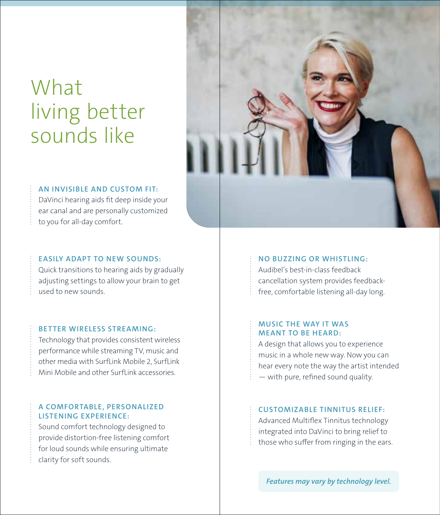# What living better sounds like

### **AN INVISIBLE AND CUSTOM FIT:**

DaVinci hearing aids fit deep inside your ear canal and are personally customized to you for all-day comfort.

### **EASILY ADAPT TO NEW SOUNDS:**

Quick transitions to hearing aids by gradually adjusting settings to allow your brain to get used to new sounds.

#### **BET TER WIRELESS STREAMING:**

Technology that provides consistent wireless performance while streaming TV, music and other media with SurfLink Mobile 2, SurfLink Mini Mobile and other SurfLink accessories.

#### **A COMFORTABLE, PERSONALIZED LISTENING EXPERIENCE:**

Sound comfort technology designed to provide distortion-free listening comfort for loud sounds while ensuring ultimate clarity for soft sounds.



#### **NO BUZZING OR WHISTLING:**

Audibel's best-in-class feedback cancellation system provides feedbackfree, comfortable listening all-day long.

#### **MUSIC THE WAY IT WAS MEANT TO BE HEARD:**

A design that allows you to experience music in a whole new way. Now you can hear every note the way the artist intended — with pure, refined sound quality.

#### **CUSTOMIZABLE TINNITUS RELIEF:**

Advanced Multiflex Tinnitus technology integrated into DaVinci to bring relief to those who suffer from ringing in the ears.

*Features may vary by technology level.*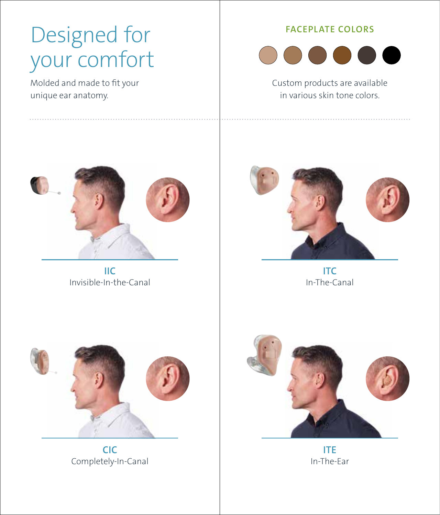# Designed for your comfort

Molded and made to fit your unique ear anatomy.

### **FACEPLATE COLORS**



Custom products are available in various skin tone colors.



**IIC** Invisible-In-the-Canal



**ITC** In-The-Canal



**CIC** Completely-In-Canal



**ITE** In-The-Ear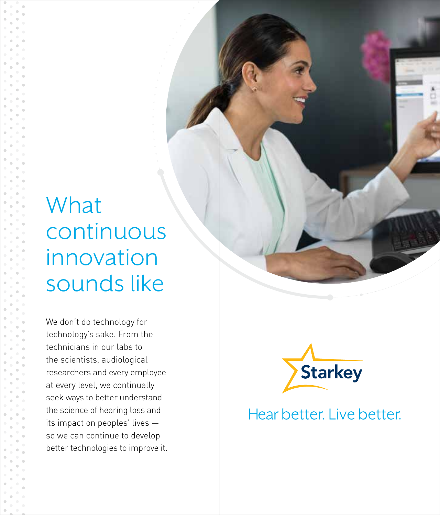# What continuous innovation sounds like

We don't do technology for technology's sake. From the technicians in our labs to the scientists, audiological researchers and every employee at every level, we continually seek ways to better understand the science of hearing loss and its impact on peoples' lives so we can continue to develop better technologies to improve it.



### Hear better. Live better.